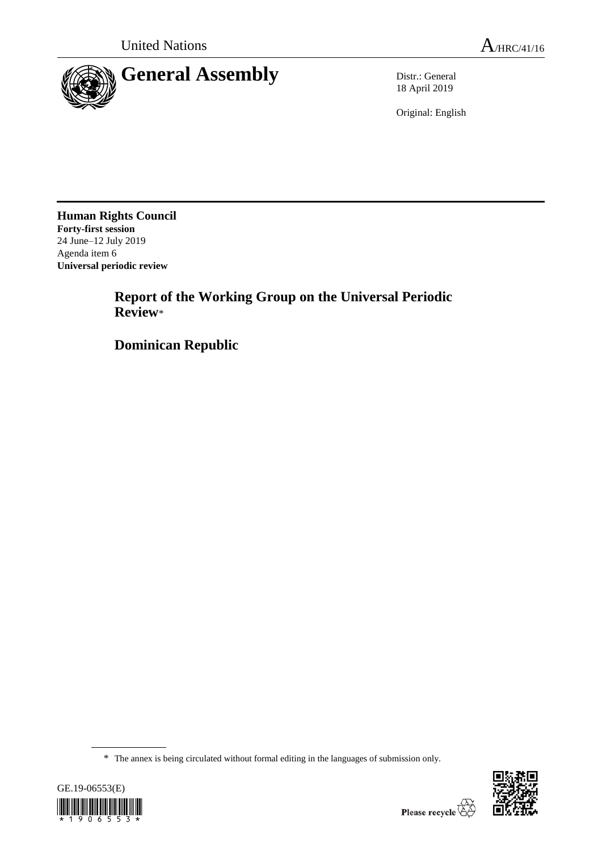

18 April 2019

Original: English

**Human Rights Council Forty-first session** 24 June–12 July 2019 Agenda item 6 **Universal periodic review**

> **Report of the Working Group on the Universal Periodic Review**\*

**Dominican Republic**

<sup>\*</sup> The annex is being circulated without formal editing in the languages of submission only.



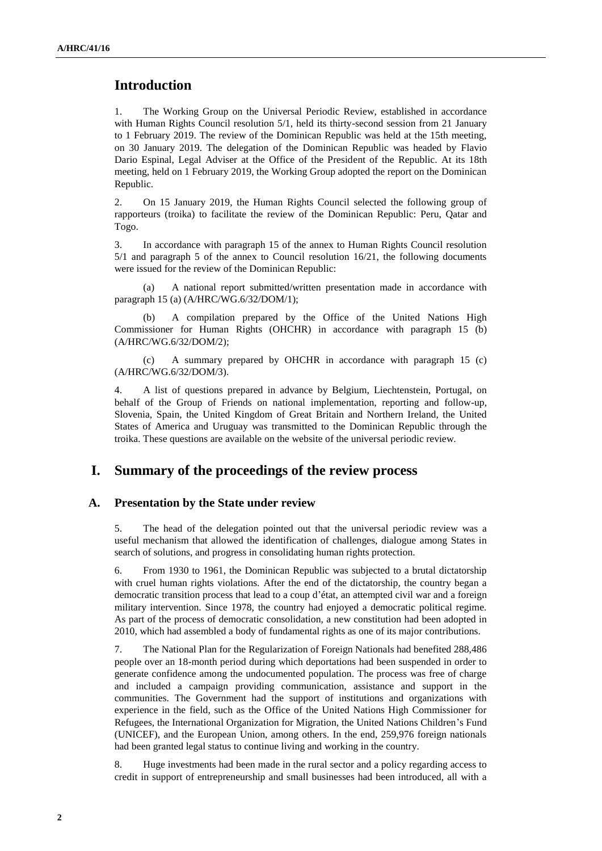# **Introduction**

1. The Working Group on the Universal Periodic Review, established in accordance with Human Rights Council resolution 5/1, held its thirty-second session from 21 January to 1 February 2019. The review of the Dominican Republic was held at the 15th meeting, on 30 January 2019. The delegation of the Dominican Republic was headed by Flavio Dario Espinal, Legal Adviser at the Office of the President of the Republic. At its 18th meeting, held on 1 February 2019, the Working Group adopted the report on the Dominican Republic.

2. On 15 January 2019, the Human Rights Council selected the following group of rapporteurs (troika) to facilitate the review of the Dominican Republic: Peru, Qatar and Togo.

3. In accordance with paragraph 15 of the annex to Human Rights Council resolution 5/1 and paragraph 5 of the annex to Council resolution 16/21, the following documents were issued for the review of the Dominican Republic:

(a) A national report submitted/written presentation made in accordance with paragraph 15 (a) (A/HRC/WG.6/32/DOM/1);

(b) A compilation prepared by the Office of the United Nations High Commissioner for Human Rights (OHCHR) in accordance with paragraph 15 (b) (A/HRC/WG.6/32/DOM/2);

(c) A summary prepared by OHCHR in accordance with paragraph 15 (c) (A/HRC/WG.6/32/DOM/3).

4. A list of questions prepared in advance by Belgium, Liechtenstein, Portugal, on behalf of the Group of Friends on national implementation, reporting and follow-up, Slovenia, Spain, the United Kingdom of Great Britain and Northern Ireland, the United States of America and Uruguay was transmitted to the Dominican Republic through the troika. These questions are available on the website of the universal periodic review.

## **I. Summary of the proceedings of the review process**

### **A. Presentation by the State under review**

5. The head of the delegation pointed out that the universal periodic review was a useful mechanism that allowed the identification of challenges, dialogue among States in search of solutions, and progress in consolidating human rights protection.

6. From 1930 to 1961, the Dominican Republic was subjected to a brutal dictatorship with cruel human rights violations. After the end of the dictatorship, the country began a democratic transition process that lead to a coup d'état, an attempted civil war and a foreign military intervention. Since 1978, the country had enjoyed a democratic political regime. As part of the process of democratic consolidation, a new constitution had been adopted in 2010, which had assembled a body of fundamental rights as one of its major contributions.

7. The National Plan for the Regularization of Foreign Nationals had benefited 288,486 people over an 18-month period during which deportations had been suspended in order to generate confidence among the undocumented population. The process was free of charge and included a campaign providing communication, assistance and support in the communities. The Government had the support of institutions and organizations with experience in the field, such as the Office of the United Nations High Commissioner for Refugees, the International Organization for Migration, the United Nations Children's Fund (UNICEF), and the European Union, among others. In the end, 259,976 foreign nationals had been granted legal status to continue living and working in the country.

8. Huge investments had been made in the rural sector and a policy regarding access to credit in support of entrepreneurship and small businesses had been introduced, all with a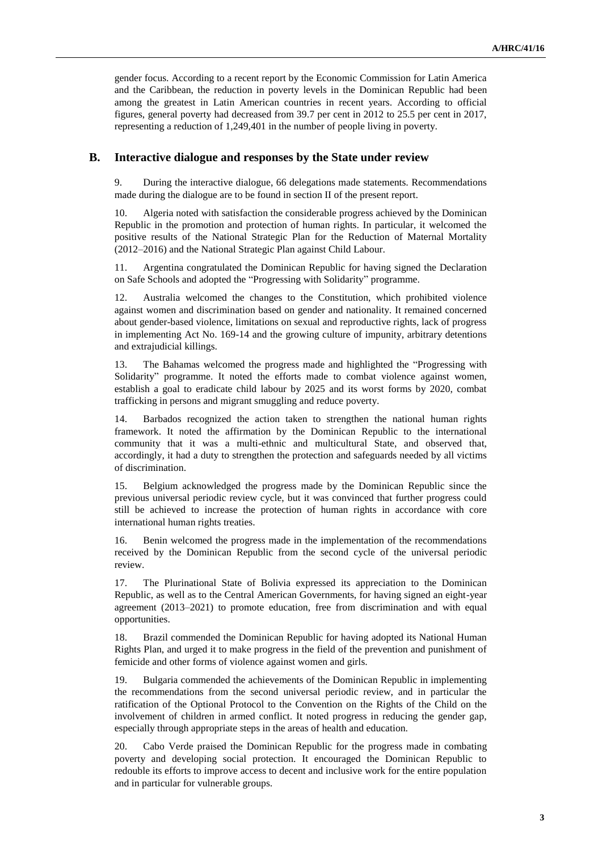gender focus. According to a recent report by the Economic Commission for Latin America and the Caribbean, the reduction in poverty levels in the Dominican Republic had been among the greatest in Latin American countries in recent years. According to official figures, general poverty had decreased from 39.7 per cent in 2012 to 25.5 per cent in 2017, representing a reduction of 1,249,401 in the number of people living in poverty.

#### **B. Interactive dialogue and responses by the State under review**

9. During the interactive dialogue, 66 delegations made statements. Recommendations made during the dialogue are to be found in section II of the present report.

10. Algeria noted with satisfaction the considerable progress achieved by the Dominican Republic in the promotion and protection of human rights. In particular, it welcomed the positive results of the National Strategic Plan for the Reduction of Maternal Mortality (2012–2016) and the National Strategic Plan against Child Labour.

11. Argentina congratulated the Dominican Republic for having signed the Declaration on Safe Schools and adopted the "Progressing with Solidarity" programme.

12. Australia welcomed the changes to the Constitution, which prohibited violence against women and discrimination based on gender and nationality. It remained concerned about gender-based violence, limitations on sexual and reproductive rights, lack of progress in implementing Act No. 169-14 and the growing culture of impunity, arbitrary detentions and extrajudicial killings.

13. The Bahamas welcomed the progress made and highlighted the "Progressing with Solidarity" programme. It noted the efforts made to combat violence against women, establish a goal to eradicate child labour by 2025 and its worst forms by 2020, combat trafficking in persons and migrant smuggling and reduce poverty.

14. Barbados recognized the action taken to strengthen the national human rights framework. It noted the affirmation by the Dominican Republic to the international community that it was a multi-ethnic and multicultural State, and observed that, accordingly, it had a duty to strengthen the protection and safeguards needed by all victims of discrimination.

15. Belgium acknowledged the progress made by the Dominican Republic since the previous universal periodic review cycle, but it was convinced that further progress could still be achieved to increase the protection of human rights in accordance with core international human rights treaties.

16. Benin welcomed the progress made in the implementation of the recommendations received by the Dominican Republic from the second cycle of the universal periodic review.

17. The Plurinational State of Bolivia expressed its appreciation to the Dominican Republic, as well as to the Central American Governments, for having signed an eight-year agreement (2013–2021) to promote education, free from discrimination and with equal opportunities.

18. Brazil commended the Dominican Republic for having adopted its National Human Rights Plan, and urged it to make progress in the field of the prevention and punishment of femicide and other forms of violence against women and girls.

19. Bulgaria commended the achievements of the Dominican Republic in implementing the recommendations from the second universal periodic review, and in particular the ratification of the Optional Protocol to the Convention on the Rights of the Child on the involvement of children in armed conflict. It noted progress in reducing the gender gap, especially through appropriate steps in the areas of health and education.

20. Cabo Verde praised the Dominican Republic for the progress made in combating poverty and developing social protection. It encouraged the Dominican Republic to redouble its efforts to improve access to decent and inclusive work for the entire population and in particular for vulnerable groups.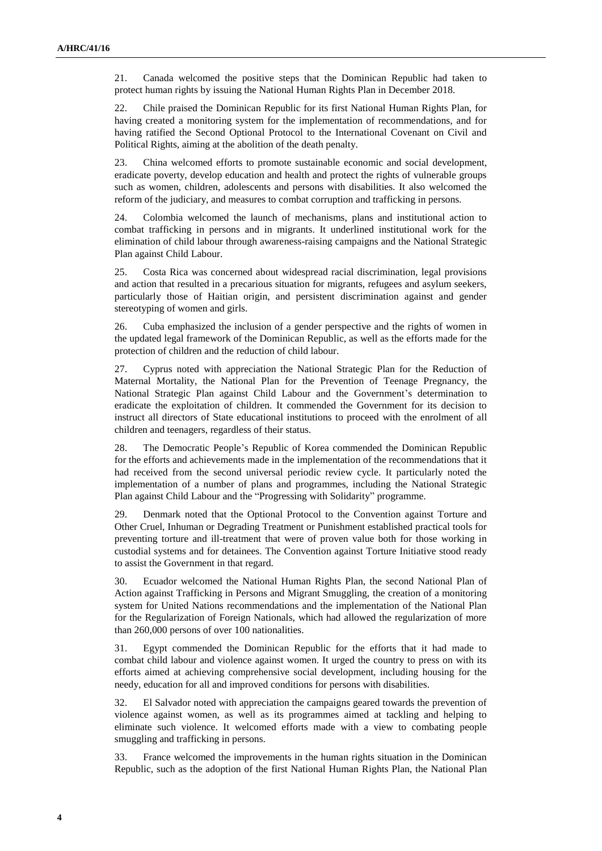21. Canada welcomed the positive steps that the Dominican Republic had taken to protect human rights by issuing the National Human Rights Plan in December 2018.

22. Chile praised the Dominican Republic for its first National Human Rights Plan, for having created a monitoring system for the implementation of recommendations, and for having ratified the Second Optional Protocol to the International Covenant on Civil and Political Rights, aiming at the abolition of the death penalty.

23. China welcomed efforts to promote sustainable economic and social development, eradicate poverty, develop education and health and protect the rights of vulnerable groups such as women, children, adolescents and persons with disabilities. It also welcomed the reform of the judiciary, and measures to combat corruption and trafficking in persons.

24. Colombia welcomed the launch of mechanisms, plans and institutional action to combat trafficking in persons and in migrants. It underlined institutional work for the elimination of child labour through awareness-raising campaigns and the National Strategic Plan against Child Labour.

25. Costa Rica was concerned about widespread racial discrimination, legal provisions and action that resulted in a precarious situation for migrants, refugees and asylum seekers, particularly those of Haitian origin, and persistent discrimination against and gender stereotyping of women and girls.

26. Cuba emphasized the inclusion of a gender perspective and the rights of women in the updated legal framework of the Dominican Republic, as well as the efforts made for the protection of children and the reduction of child labour.

27. Cyprus noted with appreciation the National Strategic Plan for the Reduction of Maternal Mortality, the National Plan for the Prevention of Teenage Pregnancy, the National Strategic Plan against Child Labour and the Government's determination to eradicate the exploitation of children. It commended the Government for its decision to instruct all directors of State educational institutions to proceed with the enrolment of all children and teenagers, regardless of their status.

28. The Democratic People's Republic of Korea commended the Dominican Republic for the efforts and achievements made in the implementation of the recommendations that it had received from the second universal periodic review cycle. It particularly noted the implementation of a number of plans and programmes, including the National Strategic Plan against Child Labour and the "Progressing with Solidarity" programme.

29. Denmark noted that the Optional Protocol to the Convention against Torture and Other Cruel, Inhuman or Degrading Treatment or Punishment established practical tools for preventing torture and ill-treatment that were of proven value both for those working in custodial systems and for detainees. The Convention against Torture Initiative stood ready to assist the Government in that regard.

30. Ecuador welcomed the National Human Rights Plan, the second National Plan of Action against Trafficking in Persons and Migrant Smuggling, the creation of a monitoring system for United Nations recommendations and the implementation of the National Plan for the Regularization of Foreign Nationals, which had allowed the regularization of more than 260,000 persons of over 100 nationalities.

31. Egypt commended the Dominican Republic for the efforts that it had made to combat child labour and violence against women. It urged the country to press on with its efforts aimed at achieving comprehensive social development, including housing for the needy, education for all and improved conditions for persons with disabilities.

32. El Salvador noted with appreciation the campaigns geared towards the prevention of violence against women, as well as its programmes aimed at tackling and helping to eliminate such violence. It welcomed efforts made with a view to combating people smuggling and trafficking in persons.

33. France welcomed the improvements in the human rights situation in the Dominican Republic, such as the adoption of the first National Human Rights Plan, the National Plan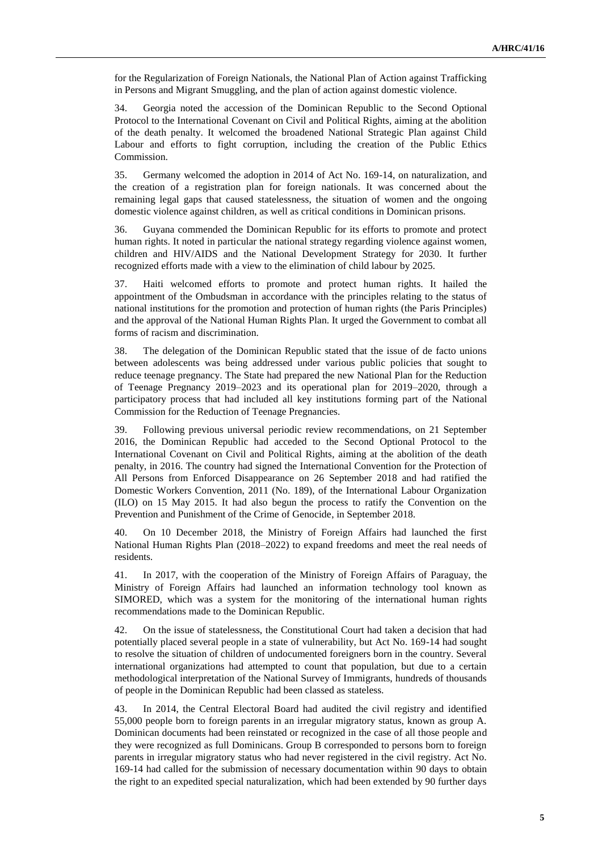for the Regularization of Foreign Nationals, the National Plan of Action against Trafficking in Persons and Migrant Smuggling, and the plan of action against domestic violence.

34. Georgia noted the accession of the Dominican Republic to the Second Optional Protocol to the International Covenant on Civil and Political Rights, aiming at the abolition of the death penalty. It welcomed the broadened National Strategic Plan against Child Labour and efforts to fight corruption, including the creation of the Public Ethics Commission.

35. Germany welcomed the adoption in 2014 of Act No. 169-14, on naturalization, and the creation of a registration plan for foreign nationals. It was concerned about the remaining legal gaps that caused statelessness, the situation of women and the ongoing domestic violence against children, as well as critical conditions in Dominican prisons.

36. Guyana commended the Dominican Republic for its efforts to promote and protect human rights. It noted in particular the national strategy regarding violence against women, children and HIV/AIDS and the National Development Strategy for 2030. It further recognized efforts made with a view to the elimination of child labour by 2025.

37. Haiti welcomed efforts to promote and protect human rights. It hailed the appointment of the Ombudsman in accordance with the principles relating to the status of national institutions for the promotion and protection of human rights (the Paris Principles) and the approval of the National Human Rights Plan. It urged the Government to combat all forms of racism and discrimination.

38. The delegation of the Dominican Republic stated that the issue of de facto unions between adolescents was being addressed under various public policies that sought to reduce teenage pregnancy. The State had prepared the new National Plan for the Reduction of Teenage Pregnancy 2019–2023 and its operational plan for 2019–2020, through a participatory process that had included all key institutions forming part of the National Commission for the Reduction of Teenage Pregnancies.

39. Following previous universal periodic review recommendations, on 21 September 2016, the Dominican Republic had acceded to the Second Optional Protocol to the [International Covenant on Civil and Political Rights,](https://www.ohchr.org/EN/ProfessionalInterest/Pages/CCPR.aspx) aiming at the abolition of the death penalty, in 2016. The country had signed the [International Convention for the Protection of](https://www.ohchr.org/EN/HRBodies/CED/Pages/ConventionCED.aspx)  [All Persons from Enforced Disappearance](https://www.ohchr.org/EN/HRBodies/CED/Pages/ConventionCED.aspx) on 26 September 2018 and had ratified the Domestic Workers Convention, 2011 (No. 189), of the International Labour Organization (ILO) on 15 May 2015. It had also begun the process to ratify the Convention on the Prevention and Punishment of the Crime of Genocide, in September 2018.

40. On 10 December 2018, the Ministry of Foreign Affairs had launched the first National Human Rights Plan (2018–2022) to expand freedoms and meet the real needs of residents.

41. In 2017, with the cooperation of the Ministry of Foreign Affairs of Paraguay, the Ministry of Foreign Affairs had launched an information technology tool known as SIMORED, which was a system for the monitoring of the international human rights recommendations made to the Dominican Republic.

42. On the issue of statelessness, the Constitutional Court had taken a decision that had potentially placed several people in a state of vulnerability, but Act No. 169-14 had sought to resolve the situation of children of undocumented foreigners born in the country. Several international organizations had attempted to count that population, but due to a certain methodological interpretation of the National Survey of Immigrants, hundreds of thousands of people in the Dominican Republic had been classed as stateless.

43. In 2014, the Central Electoral Board had audited the civil registry and identified 55,000 people born to foreign parents in an irregular migratory status, known as group A. Dominican documents had been reinstated or recognized in the case of all those people and they were recognized as full Dominicans. Group B corresponded to persons born to foreign parents in irregular migratory status who had never registered in the civil registry. Act No. 169-14 had called for the submission of necessary documentation within 90 days to obtain the right to an expedited special naturalization, which had been extended by 90 further days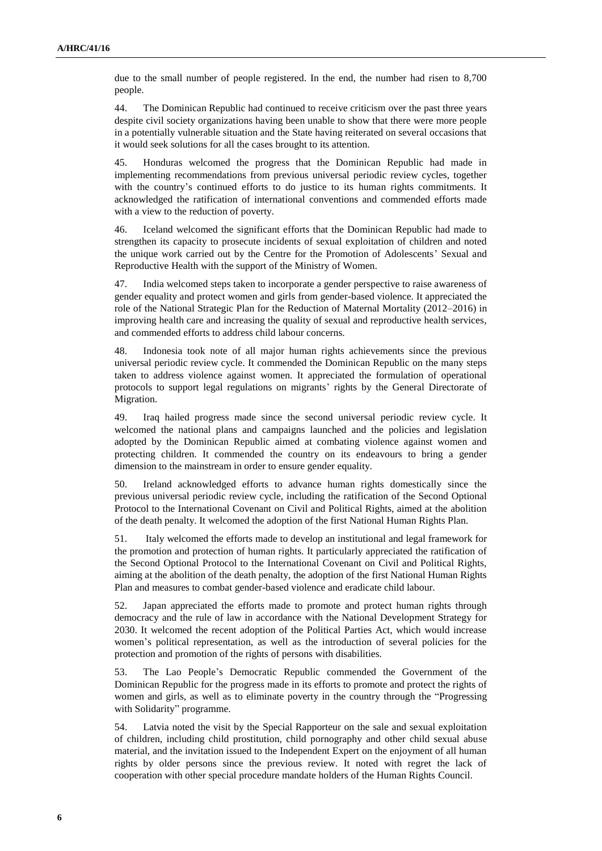due to the small number of people registered. In the end, the number had risen to 8,700 people.

44. The Dominican Republic had continued to receive criticism over the past three years despite civil society organizations having been unable to show that there were more people in a potentially vulnerable situation and the State having reiterated on several occasions that it would seek solutions for all the cases brought to its attention.

45. Honduras welcomed the progress that the Dominican Republic had made in implementing recommendations from previous universal periodic review cycles, together with the country's continued efforts to do justice to its human rights commitments. It acknowledged the ratification of international conventions and commended efforts made with a view to the reduction of poverty.

46. Iceland welcomed the significant efforts that the Dominican Republic had made to strengthen its capacity to prosecute incidents of sexual exploitation of children and noted the unique work carried out by the Centre for the Promotion of Adolescents' Sexual and Reproductive Health with the support of the Ministry of Women.

47. India welcomed steps taken to incorporate a gender perspective to raise awareness of gender equality and protect women and girls from gender-based violence. It appreciated the role of the National Strategic Plan for the Reduction of Maternal Mortality (2012–2016) in improving health care and increasing the quality of sexual and reproductive health services, and commended efforts to address child labour concerns.

48. Indonesia took note of all major human rights achievements since the previous universal periodic review cycle. It commended the Dominican Republic on the many steps taken to address violence against women. It appreciated the formulation of operational protocols to support legal regulations on migrants' rights by the General Directorate of Migration.

49. Iraq hailed progress made since the second universal periodic review cycle. It welcomed the national plans and campaigns launched and the policies and legislation adopted by the Dominican Republic aimed at combating violence against women and protecting children. It commended the country on its endeavours to bring a gender dimension to the mainstream in order to ensure gender equality.

50. Ireland acknowledged efforts to advance human rights domestically since the previous universal periodic review cycle, including the ratification of the Second Optional Protocol to the International Covenant on Civil and Political Rights, aimed at the abolition of the death penalty. It welcomed the adoption of the first National Human Rights Plan.

51. Italy welcomed the efforts made to develop an institutional and legal framework for the promotion and protection of human rights. It particularly appreciated the ratification of the Second Optional Protocol to the International Covenant on Civil and Political Rights, aiming at the abolition of the death penalty, the adoption of the first National Human Rights Plan and measures to combat gender-based violence and eradicate child labour.

52. Japan appreciated the efforts made to promote and protect human rights through democracy and the rule of law in accordance with the National Development Strategy for 2030. It welcomed the recent adoption of the Political Parties Act, which would increase women's political representation, as well as the introduction of several policies for the protection and promotion of the rights of persons with disabilities.

53. The Lao People's Democratic Republic commended the Government of the Dominican Republic for the progress made in its efforts to promote and protect the rights of women and girls, as well as to eliminate poverty in the country through the "Progressing with Solidarity" programme.

54. Latvia noted the visit by the Special Rapporteur on the sale and sexual exploitation of children, including child prostitution, child pornography and other child sexual abuse material, and the invitation issued to the Independent Expert on the enjoyment of all human rights by older persons since the previous review. It noted with regret the lack of cooperation with other special procedure mandate holders of the Human Rights Council.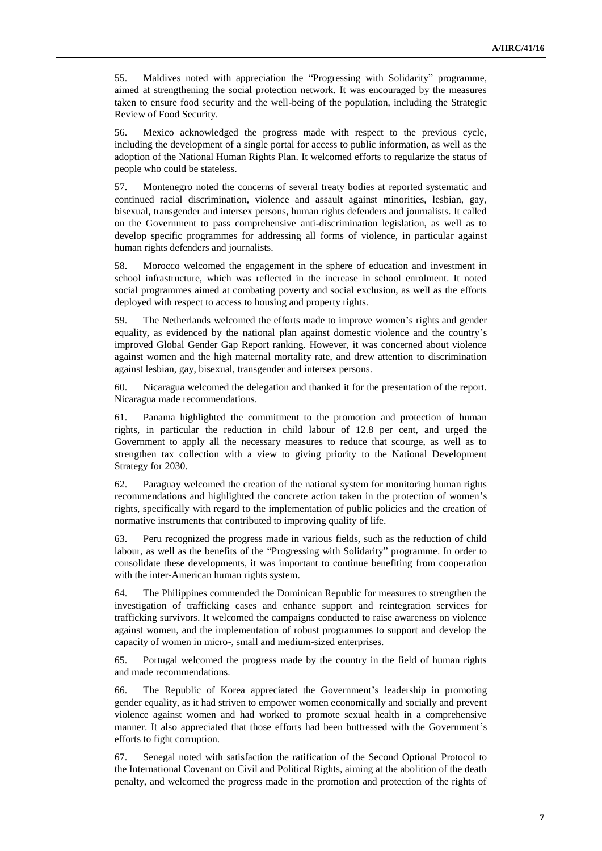55. Maldives noted with appreciation the "Progressing with Solidarity" programme, aimed at strengthening the social protection network. It was encouraged by the measures taken to ensure food security and the well-being of the population, including the Strategic Review of Food Security.

56. Mexico acknowledged the progress made with respect to the previous cycle, including the development of a single portal for access to public information, as well as the adoption of the National Human Rights Plan. It welcomed efforts to regularize the status of people who could be stateless.

57. Montenegro noted the concerns of several treaty bodies at reported systematic and continued racial discrimination, violence and assault against minorities, lesbian, gay, bisexual, transgender and intersex persons, human rights defenders and journalists. It called on the Government to pass comprehensive anti-discrimination legislation, as well as to develop specific programmes for addressing all forms of violence, in particular against human rights defenders and journalists.

58. Morocco welcomed the engagement in the sphere of education and investment in school infrastructure, which was reflected in the increase in school enrolment. It noted social programmes aimed at combating poverty and social exclusion, as well as the efforts deployed with respect to access to housing and property rights.

59. The Netherlands welcomed the efforts made to improve women's rights and gender equality, as evidenced by the national plan against domestic violence and the country's improved Global Gender Gap Report ranking. However, it was concerned about violence against women and the high maternal mortality rate, and drew attention to discrimination against lesbian, gay, bisexual, transgender and intersex persons.

60. Nicaragua welcomed the delegation and thanked it for the presentation of the report. Nicaragua made recommendations.

61. Panama highlighted the commitment to the promotion and protection of human rights, in particular the reduction in child labour of 12.8 per cent, and urged the Government to apply all the necessary measures to reduce that scourge, as well as to strengthen tax collection with a view to giving priority to the National Development Strategy for 2030.

62. Paraguay welcomed the creation of the national system for monitoring human rights recommendations and highlighted the concrete action taken in the protection of women's rights, specifically with regard to the implementation of public policies and the creation of normative instruments that contributed to improving quality of life.

63. Peru recognized the progress made in various fields, such as the reduction of child labour, as well as the benefits of the "Progressing with Solidarity" programme. In order to consolidate these developments, it was important to continue benefiting from cooperation with the inter-American human rights system.

64. The Philippines commended the Dominican Republic for measures to strengthen the investigation of trafficking cases and enhance support and reintegration services for trafficking survivors. It welcomed the campaigns conducted to raise awareness on violence against women, and the implementation of robust programmes to support and develop the capacity of women in micro-, small and medium-sized enterprises.

65. Portugal welcomed the progress made by the country in the field of human rights and made recommendations.

66. The Republic of Korea appreciated the Government's leadership in promoting gender equality, as it had striven to empower women economically and socially and prevent violence against women and had worked to promote sexual health in a comprehensive manner. It also appreciated that those efforts had been buttressed with the Government's efforts to fight corruption.

67. Senegal noted with satisfaction the ratification of the Second Optional Protocol to the International Covenant on Civil and Political Rights, aiming at the abolition of the death penalty, and welcomed the progress made in the promotion and protection of the rights of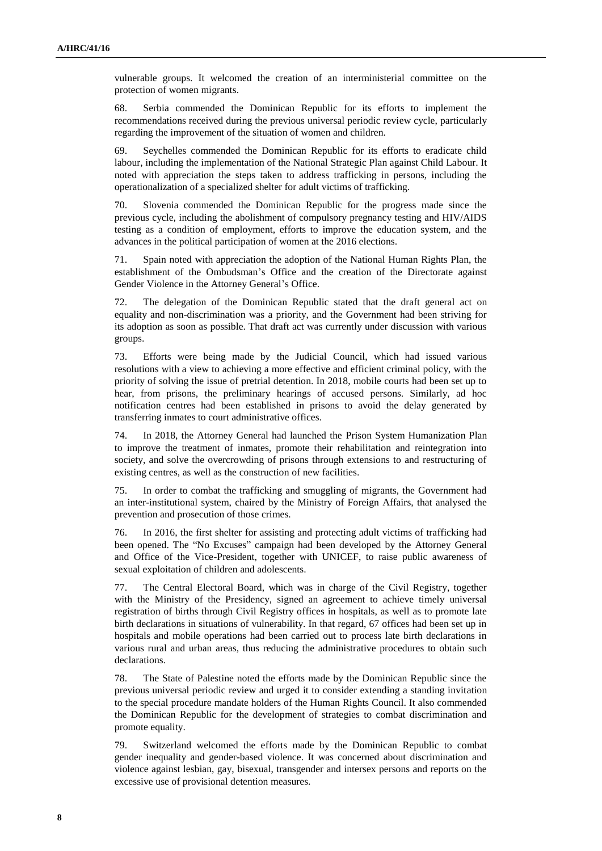vulnerable groups. It welcomed the creation of an interministerial committee on the protection of women migrants.

68. Serbia commended the Dominican Republic for its efforts to implement the recommendations received during the previous universal periodic review cycle, particularly regarding the improvement of the situation of women and children.

69. Seychelles commended the Dominican Republic for its efforts to eradicate child labour, including the implementation of the National Strategic Plan against Child Labour. It noted with appreciation the steps taken to address trafficking in persons, including the operationalization of a specialized shelter for adult victims of trafficking.

70. Slovenia commended the Dominican Republic for the progress made since the previous cycle, including the abolishment of compulsory pregnancy testing and HIV/AIDS testing as a condition of employment, efforts to improve the education system, and the advances in the political participation of women at the 2016 elections.

71. Spain noted with appreciation the adoption of the National Human Rights Plan, the establishment of the Ombudsman's Office and the creation of the Directorate against Gender Violence in the Attorney General's Office.

72. The delegation of the Dominican Republic stated that the draft general act on equality and non-discrimination was a priority, and the Government had been striving for its adoption as soon as possible. That draft act was currently under discussion with various groups.

73. Efforts were being made by the Judicial Council, which had issued various resolutions with a view to achieving a more effective and efficient criminal policy, with the priority of solving the issue of pretrial detention. In 2018, mobile courts had been set up to hear, from prisons, the preliminary hearings of accused persons. Similarly, ad hoc notification centres had been established in prisons to avoid the delay generated by transferring inmates to court administrative offices.

74. In 2018, the Attorney General had launched the Prison System Humanization Plan to improve the treatment of inmates, promote their rehabilitation and reintegration into society, and solve the overcrowding of prisons through extensions to and restructuring of existing centres, as well as the construction of new facilities.

75. In order to combat the trafficking and smuggling of migrants, the Government had an inter-institutional system, chaired by the Ministry of Foreign Affairs, that analysed the prevention and prosecution of those crimes.

76. In 2016, the first shelter for assisting and protecting adult victims of trafficking had been opened. The "No Excuses" campaign had been developed by the Attorney General and Office of the Vice-President, together with UNICEF, to raise public awareness of sexual exploitation of children and adolescents.

77. The Central Electoral Board, which was in charge of the Civil Registry, together with the Ministry of the Presidency, signed an agreement to achieve timely universal registration of births through Civil Registry offices in hospitals, as well as to promote late birth declarations in situations of vulnerability. In that regard, 67 offices had been set up in hospitals and mobile operations had been carried out to process late birth declarations in various rural and urban areas, thus reducing the administrative procedures to obtain such declarations.

78. The State of Palestine noted the efforts made by the Dominican Republic since the previous universal periodic review and urged it to consider extending a standing invitation to the special procedure mandate holders of the Human Rights Council. It also commended the Dominican Republic for the development of strategies to combat discrimination and promote equality.

79. Switzerland welcomed the efforts made by the Dominican Republic to combat gender inequality and gender-based violence. It was concerned about discrimination and violence against lesbian, gay, bisexual, transgender and intersex persons and reports on the excessive use of provisional detention measures.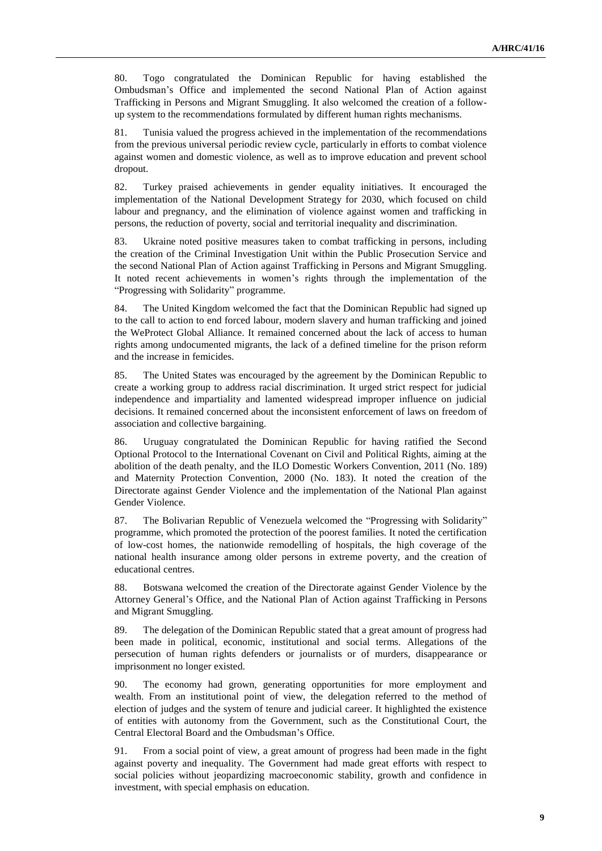80. Togo congratulated the Dominican Republic for having established the Ombudsman's Office and implemented the second National Plan of Action against Trafficking in Persons and Migrant Smuggling. It also welcomed the creation of a followup system to the recommendations formulated by different human rights mechanisms.

81. Tunisia valued the progress achieved in the implementation of the recommendations from the previous universal periodic review cycle, particularly in efforts to combat violence against women and domestic violence, as well as to improve education and prevent school dropout.

82. Turkey praised achievements in gender equality initiatives. It encouraged the implementation of the National Development Strategy for 2030, which focused on child labour and pregnancy, and the elimination of violence against women and trafficking in persons, the reduction of poverty, social and territorial inequality and discrimination.

83. Ukraine noted positive measures taken to combat trafficking in persons, including the creation of the Criminal Investigation Unit within the Public Prosecution Service and the second National Plan of Action against Trafficking in Persons and Migrant Smuggling. It noted recent achievements in women's rights through the implementation of the "Progressing with Solidarity" programme.

84. The United Kingdom welcomed the fact that the Dominican Republic had signed up to the call to action to end forced labour, modern slavery and human trafficking and joined the WeProtect Global Alliance. It remained concerned about the lack of access to human rights among undocumented migrants, the lack of a defined timeline for the prison reform and the increase in femicides.

85. The United States was encouraged by the agreement by the Dominican Republic to create a working group to address racial discrimination. It urged strict respect for judicial independence and impartiality and lamented widespread improper influence on judicial decisions. It remained concerned about the inconsistent enforcement of laws on freedom of association and collective bargaining.

86. Uruguay congratulated the Dominican Republic for having ratified the Second Optional Protocol to the International Covenant on Civil and Political Rights, aiming at the abolition of the death penalty, and the ILO Domestic Workers Convention, 2011 (No. 189) and Maternity Protection Convention, 2000 (No. 183). It noted the creation of the Directorate against Gender Violence and the implementation of the National Plan against Gender Violence.

87. The Bolivarian Republic of Venezuela welcomed the "Progressing with Solidarity" programme, which promoted the protection of the poorest families. It noted the certification of low-cost homes, the nationwide remodelling of hospitals, the high coverage of the national health insurance among older persons in extreme poverty, and the creation of educational centres.

88. Botswana welcomed the creation of the Directorate against Gender Violence by the Attorney General's Office, and the National Plan of Action against Trafficking in Persons and Migrant Smuggling.

89. The delegation of the Dominican Republic stated that a great amount of progress had been made in political, economic, institutional and social terms. Allegations of the persecution of human rights defenders or journalists or of murders, disappearance or imprisonment no longer existed.

90. The economy had grown, generating opportunities for more employment and wealth. From an institutional point of view, the delegation referred to the method of election of judges and the system of tenure and judicial career. It highlighted the existence of entities with autonomy from the Government, such as the Constitutional Court, the Central Electoral Board and the Ombudsman's Office.

91. From a social point of view, a great amount of progress had been made in the fight against poverty and inequality. The Government had made great efforts with respect to social policies without jeopardizing macroeconomic stability, growth and confidence in investment, with special emphasis on education.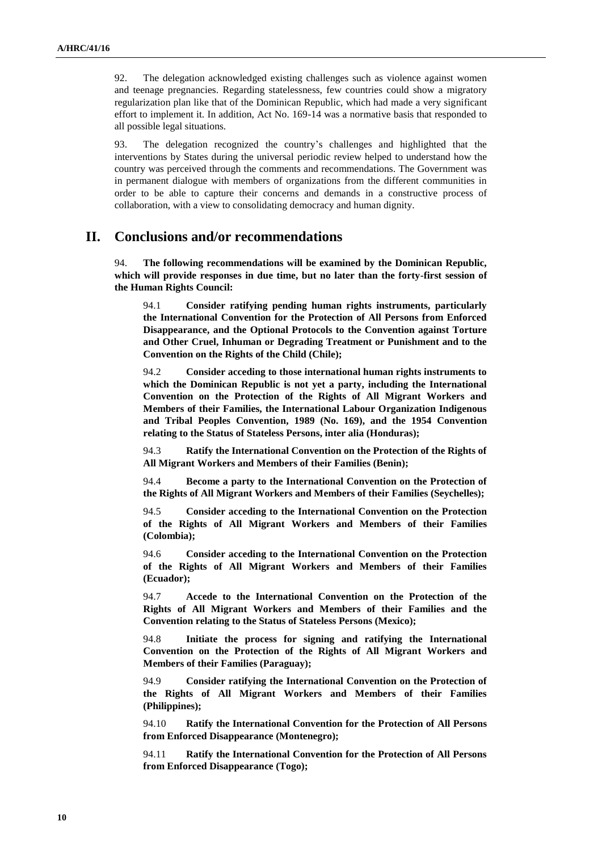92. The delegation acknowledged existing challenges such as violence against women and teenage pregnancies. Regarding statelessness, few countries could show a migratory regularization plan like that of the Dominican Republic, which had made a very significant effort to implement it. In addition, Act No. 169-14 was a normative basis that responded to all possible legal situations.

93. The delegation recognized the country's challenges and highlighted that the interventions by States during the universal periodic review helped to understand how the country was perceived through the comments and recommendations. The Government was in permanent dialogue with members of organizations from the different communities in order to be able to capture their concerns and demands in a constructive process of collaboration, with a view to consolidating democracy and human dignity.

## **II. Conclusions and/or recommendations**

94. **The following recommendations will be examined by the Dominican Republic, which will provide responses in due time, but no later than the forty-first session of the Human Rights Council:**

94.1 **Consider ratifying pending human rights instruments, particularly the International Convention for the Protection of All Persons from Enforced Disappearance, and the Optional Protocols to the Convention against Torture and Other Cruel, Inhuman or Degrading Treatment or Punishment and to the Convention on the Rights of the Child (Chile);**

94.2 **Consider acceding to those international human rights instruments to which the Dominican Republic is not yet a party, including the International Convention on the Protection of the Rights of All Migrant Workers and Members of their Families, the International Labour Organization Indigenous and Tribal Peoples Convention, 1989 (No. 169), and the 1954 Convention relating to the Status of Stateless Persons, inter alia (Honduras);**

94.3 **Ratify the International Convention on the Protection of the Rights of All Migrant Workers and Members of their Families (Benin);**

94.4 **Become a party to the International Convention on the Protection of the Rights of All Migrant Workers and Members of their Families (Seychelles);**

94.5 **Consider acceding to the International Convention on the Protection of the Rights of All Migrant Workers and Members of their Families (Colombia);**

94.6 **Consider acceding to the International Convention on the Protection of the Rights of All Migrant Workers and Members of their Families (Ecuador);**

94.7 **Accede to the International Convention on the Protection of the Rights of All Migrant Workers and Members of their Families and the Convention relating to the Status of Stateless Persons (Mexico);**

94.8 **Initiate the process for signing and ratifying the International Convention on the Protection of the Rights of All Migrant Workers and Members of their Families (Paraguay);**

94.9 **Consider ratifying the International Convention on the Protection of the Rights of All Migrant Workers and Members of their Families (Philippines);**

94.10 **Ratify the International Convention for the Protection of All Persons from Enforced Disappearance (Montenegro);**

94.11 **Ratify the International Convention for the Protection of All Persons from Enforced Disappearance (Togo);**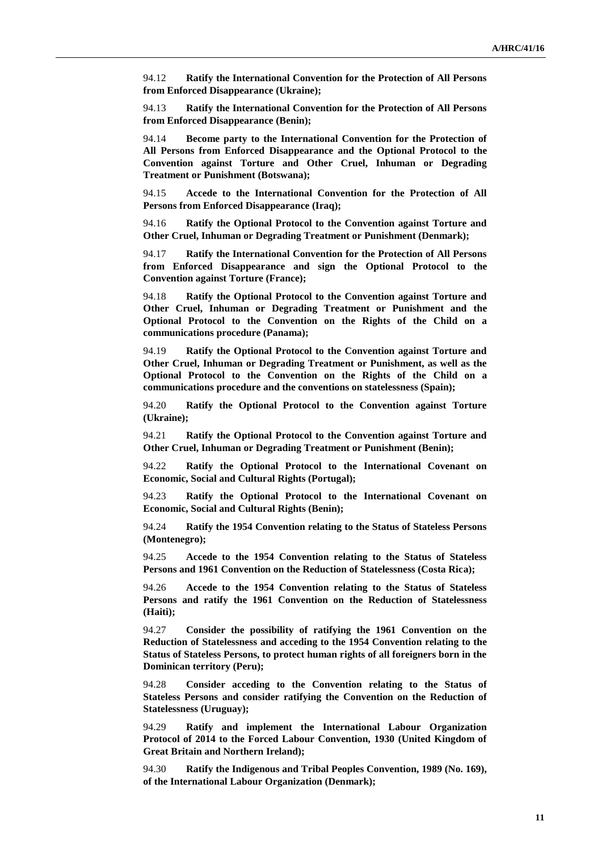94.12 **Ratify the International Convention for the Protection of All Persons from Enforced Disappearance (Ukraine);**

94.13 **Ratify the International Convention for the Protection of All Persons from Enforced Disappearance (Benin);**

94.14 **Become party to the International Convention for the Protection of All Persons from Enforced Disappearance and the Optional Protocol to the Convention against Torture and Other Cruel, Inhuman or Degrading Treatment or Punishment (Botswana);**

94.15 **Accede to the International Convention for the Protection of All Persons from Enforced Disappearance (Iraq);**

94.16 **Ratify the Optional Protocol to the Convention against Torture and Other Cruel, Inhuman or Degrading Treatment or Punishment (Denmark);**

94.17 **Ratify the International Convention for the Protection of All Persons from Enforced Disappearance and sign the Optional Protocol to the Convention against Torture (France);**

94.18 **Ratify the Optional Protocol to the Convention against Torture and Other Cruel, Inhuman or Degrading Treatment or Punishment and the Optional Protocol to the Convention on the Rights of the Child on a communications procedure (Panama);**

94.19 **Ratify the Optional Protocol to the Convention against Torture and Other Cruel, Inhuman or Degrading Treatment or Punishment, as well as the Optional Protocol to the Convention on the Rights of the Child on a communications procedure and the conventions on statelessness (Spain);**

94.20 **Ratify the Optional Protocol to the Convention against Torture (Ukraine);**

94.21 **Ratify the Optional Protocol to the Convention against Torture and Other Cruel, Inhuman or Degrading Treatment or Punishment (Benin);**

94.22 **Ratify the Optional Protocol to the International Covenant on Economic, Social and Cultural Rights (Portugal);**

94.23 **Ratify the Optional Protocol to the International Covenant on Economic, Social and Cultural Rights (Benin);**

94.24 **Ratify the 1954 Convention relating to the Status of Stateless Persons (Montenegro);**

94.25 **Accede to the 1954 Convention relating to the Status of Stateless Persons and 1961 Convention on the Reduction of Statelessness (Costa Rica);**

94.26 **Accede to the 1954 Convention relating to the Status of Stateless Persons and ratify the 1961 Convention on the Reduction of Statelessness (Haiti);**

94.27 **Consider the possibility of ratifying the 1961 Convention on the Reduction of Statelessness and acceding to the 1954 Convention relating to the Status of Stateless Persons, to protect human rights of all foreigners born in the Dominican territory (Peru);**

94.28 **Consider acceding to the Convention relating to the Status of Stateless Persons and consider ratifying the Convention on the Reduction of Statelessness (Uruguay);**

94.29 **Ratify and implement the International Labour Organization Protocol of 2014 to the Forced Labour Convention, 1930 (United Kingdom of Great Britain and Northern Ireland);**

94.30 **Ratify the Indigenous and Tribal Peoples Convention, 1989 (No. 169), of the International Labour Organization (Denmark);**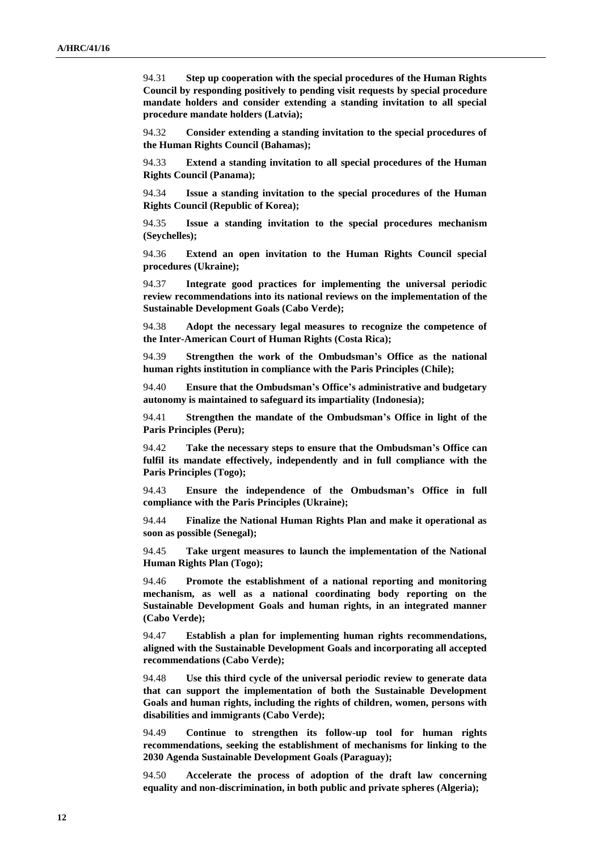94.31 **Step up cooperation with the special procedures of the Human Rights Council by responding positively to pending visit requests by special procedure mandate holders and consider extending a standing invitation to all special procedure mandate holders (Latvia);**

94.32 **Consider extending a standing invitation to the special procedures of the Human Rights Council (Bahamas);**

94.33 **Extend a standing invitation to all special procedures of the Human Rights Council (Panama);**

94.34 **Issue a standing invitation to the special procedures of the Human Rights Council (Republic of Korea);**

94.35 **Issue a standing invitation to the special procedures mechanism (Seychelles);**

94.36 **Extend an open invitation to the Human Rights Council special procedures (Ukraine);**

94.37 **Integrate good practices for implementing the universal periodic review recommendations into its national reviews on the implementation of the Sustainable Development Goals (Cabo Verde);**

94.38 **Adopt the necessary legal measures to recognize the competence of the Inter-American Court of Human Rights (Costa Rica);**

94.39 **Strengthen the work of the Ombudsman's Office as the national human rights institution in compliance with the Paris Principles (Chile);**

94.40 **Ensure that the Ombudsman's Office's administrative and budgetary autonomy is maintained to safeguard its impartiality (Indonesia);**

94.41 **Strengthen the mandate of the Ombudsman's Office in light of the Paris Principles (Peru);**

94.42 **Take the necessary steps to ensure that the Ombudsman's Office can fulfil its mandate effectively, independently and in full compliance with the Paris Principles (Togo);**

94.43 **Ensure the independence of the Ombudsman's Office in full compliance with the Paris Principles (Ukraine);**

94.44 **Finalize the National Human Rights Plan and make it operational as soon as possible (Senegal);**

94.45 **Take urgent measures to launch the implementation of the National Human Rights Plan (Togo);**

94.46 **Promote the establishment of a national reporting and monitoring mechanism, as well as a national coordinating body reporting on the Sustainable Development Goals and human rights, in an integrated manner (Cabo Verde);**

94.47 **Establish a plan for implementing human rights recommendations, aligned with the Sustainable Development Goals and incorporating all accepted recommendations (Cabo Verde);**

94.48 **Use this third cycle of the universal periodic review to generate data that can support the implementation of both the Sustainable Development Goals and human rights, including the rights of children, women, persons with disabilities and immigrants (Cabo Verde);**

94.49 **Continue to strengthen its follow-up tool for human rights recommendations, seeking the establishment of mechanisms for linking to the 2030 Agenda Sustainable Development Goals (Paraguay);**

94.50 **Accelerate the process of adoption of the draft law concerning equality and non-discrimination, in both public and private spheres (Algeria);**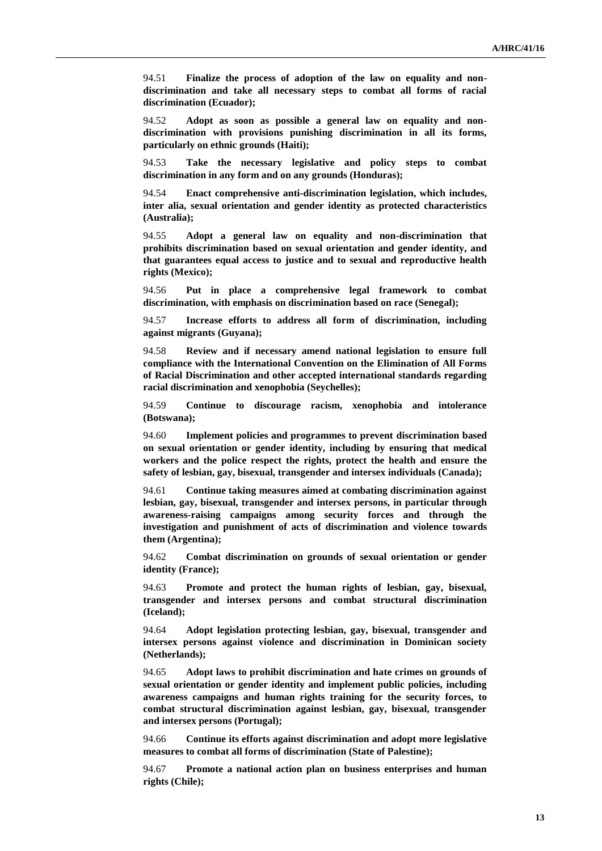94.51 **Finalize the process of adoption of the law on equality and nondiscrimination and take all necessary steps to combat all forms of racial discrimination (Ecuador);**

94.52 **Adopt as soon as possible a general law on equality and nondiscrimination with provisions punishing discrimination in all its forms, particularly on ethnic grounds (Haiti);**

94.53 **Take the necessary legislative and policy steps to combat discrimination in any form and on any grounds (Honduras);**

94.54 **Enact comprehensive anti-discrimination legislation, which includes, inter alia, sexual orientation and gender identity as protected characteristics (Australia);**

94.55 **Adopt a general law on equality and non-discrimination that prohibits discrimination based on sexual orientation and gender identity, and that guarantees equal access to justice and to sexual and reproductive health rights (Mexico);**

94.56 **Put in place a comprehensive legal framework to combat discrimination, with emphasis on discrimination based on race (Senegal);**

94.57 **Increase efforts to address all form of discrimination, including against migrants (Guyana);**

94.58 **Review and if necessary amend national legislation to ensure full compliance with the International Convention on the Elimination of All Forms of Racial Discrimination and other accepted international standards regarding racial discrimination and xenophobia (Seychelles);**

94.59 **Continue to discourage racism, xenophobia and intolerance (Botswana);**

94.60 **Implement policies and programmes to prevent discrimination based on sexual orientation or gender identity, including by ensuring that medical workers and the police respect the rights, protect the health and ensure the safety of lesbian, gay, bisexual, transgender and intersex individuals (Canada);**

94.61 **Continue taking measures aimed at combating discrimination against lesbian, gay, bisexual, transgender and intersex persons, in particular through awareness-raising campaigns among security forces and through the investigation and punishment of acts of discrimination and violence towards them (Argentina);**

94.62 **Combat discrimination on grounds of sexual orientation or gender identity (France);**

94.63 **Promote and protect the human rights of lesbian, gay, bisexual, transgender and intersex persons and combat structural discrimination (Iceland);**

94.64 **Adopt legislation protecting lesbian, gay, bisexual, transgender and intersex persons against violence and discrimination in Dominican society (Netherlands);**

94.65 **Adopt laws to prohibit discrimination and hate crimes on grounds of sexual orientation or gender identity and implement public policies, including awareness campaigns and human rights training for the security forces, to combat structural discrimination against lesbian, gay, bisexual, transgender and intersex persons (Portugal);**

94.66 **Continue its efforts against discrimination and adopt more legislative measures to combat all forms of discrimination (State of Palestine);**

94.67 **Promote a national action plan on business enterprises and human rights (Chile);**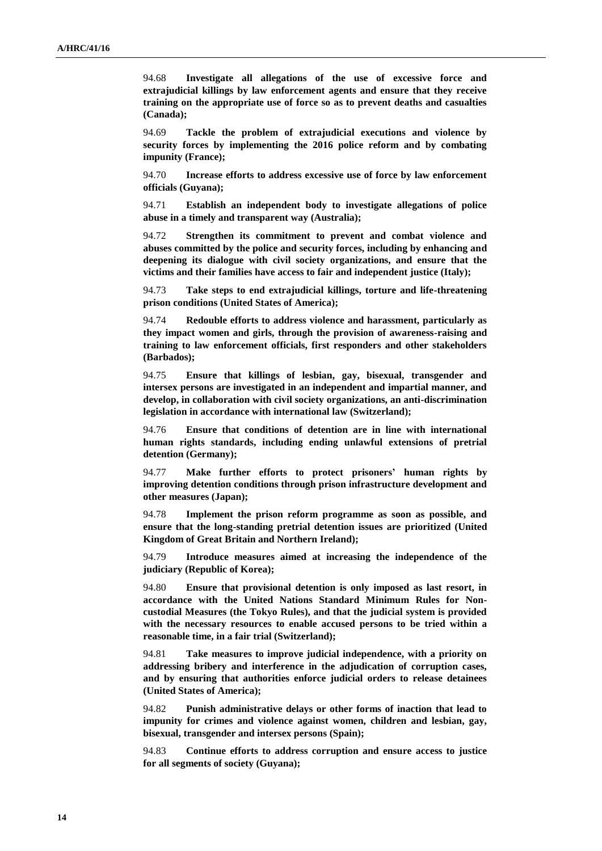94.68 **Investigate all allegations of the use of excessive force and extrajudicial killings by law enforcement agents and ensure that they receive training on the appropriate use of force so as to prevent deaths and casualties (Canada);**

94.69 **Tackle the problem of extrajudicial executions and violence by security forces by implementing the 2016 police reform and by combating impunity (France);**

94.70 **Increase efforts to address excessive use of force by law enforcement officials (Guyana);**

94.71 **Establish an independent body to investigate allegations of police abuse in a timely and transparent way (Australia);**

94.72 **Strengthen its commitment to prevent and combat violence and abuses committed by the police and security forces, including by enhancing and deepening its dialogue with civil society organizations, and ensure that the victims and their families have access to fair and independent justice (Italy);**

94.73 **Take steps to end extrajudicial killings, torture and life-threatening prison conditions (United States of America);**

94.74 **Redouble efforts to address violence and harassment, particularly as they impact women and girls, through the provision of awareness-raising and training to law enforcement officials, first responders and other stakeholders (Barbados);**

94.75 **Ensure that killings of lesbian, gay, bisexual, transgender and intersex persons are investigated in an independent and impartial manner, and develop, in collaboration with civil society organizations, an anti-discrimination legislation in accordance with international law (Switzerland);**

94.76 **Ensure that conditions of detention are in line with international human rights standards, including ending unlawful extensions of pretrial detention (Germany);**

94.77 **Make further efforts to protect prisoners' human rights by improving detention conditions through prison infrastructure development and other measures (Japan);**

94.78 **Implement the prison reform programme as soon as possible, and ensure that the long-standing pretrial detention issues are prioritized (United Kingdom of Great Britain and Northern Ireland);**

94.79 **Introduce measures aimed at increasing the independence of the judiciary (Republic of Korea);**

94.80 **Ensure that provisional detention is only imposed as last resort, in accordance with the United Nations Standard Minimum Rules for Noncustodial Measures (the Tokyo Rules), and that the judicial system is provided with the necessary resources to enable accused persons to be tried within a reasonable time, in a fair trial (Switzerland);**

94.81 **Take measures to improve judicial independence, with a priority on addressing bribery and interference in the adjudication of corruption cases, and by ensuring that authorities enforce judicial orders to release detainees (United States of America);**

94.82 **Punish administrative delays or other forms of inaction that lead to impunity for crimes and violence against women, children and lesbian, gay, bisexual, transgender and intersex persons (Spain);**

94.83 **Continue efforts to address corruption and ensure access to justice for all segments of society (Guyana);**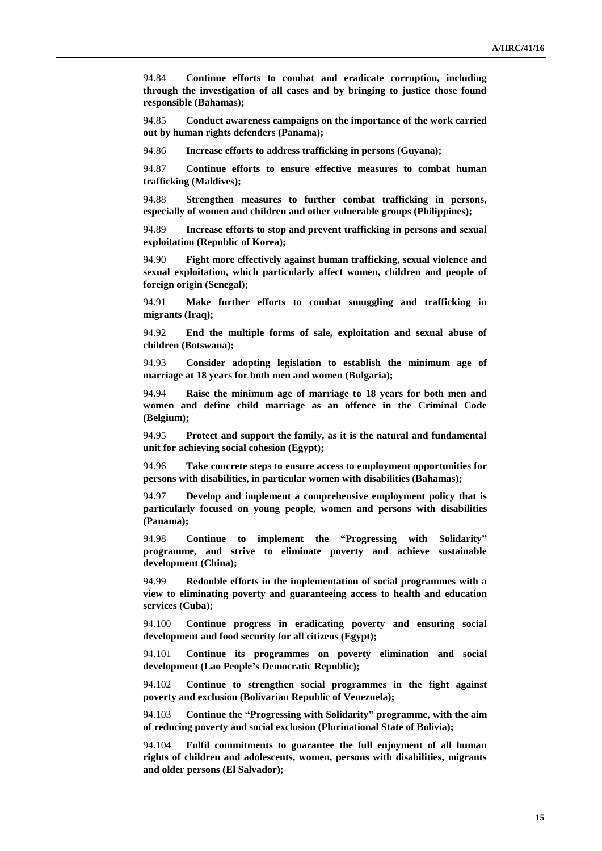94.84 **Continue efforts to combat and eradicate corruption, including through the investigation of all cases and by bringing to justice those found responsible (Bahamas);**

94.85 **Conduct awareness campaigns on the importance of the work carried out by human rights defenders (Panama);**

94.86 **Increase efforts to address trafficking in persons (Guyana);**

94.87 **Continue efforts to ensure effective measures to combat human trafficking (Maldives);**

94.88 **Strengthen measures to further combat trafficking in persons, especially of women and children and other vulnerable groups (Philippines);**

94.89 **Increase efforts to stop and prevent trafficking in persons and sexual exploitation (Republic of Korea);**

94.90 **Fight more effectively against human trafficking, sexual violence and sexual exploitation, which particularly affect women, children and people of foreign origin (Senegal);**

94.91 **Make further efforts to combat smuggling and trafficking in migrants (Iraq);**

94.92 **End the multiple forms of sale, exploitation and sexual abuse of children (Botswana);**

94.93 **Consider adopting legislation to establish the minimum age of marriage at 18 years for both men and women (Bulgaria);**

94.94 **Raise the minimum age of marriage to 18 years for both men and women and define child marriage as an offence in the Criminal Code (Belgium);**

94.95 **Protect and support the family, as it is the natural and fundamental unit for achieving social cohesion (Egypt);**

94.96 **Take concrete steps to ensure access to employment opportunities for persons with disabilities, in particular women with disabilities (Bahamas);**

94.97 **Develop and implement a comprehensive employment policy that is particularly focused on young people, women and persons with disabilities (Panama);**

94.98 **Continue to implement the "Progressing with Solidarity" programme, and strive to eliminate poverty and achieve sustainable development (China);**

94.99 **Redouble efforts in the implementation of social programmes with a view to eliminating poverty and guaranteeing access to health and education services (Cuba);**

94.100 **Continue progress in eradicating poverty and ensuring social development and food security for all citizens (Egypt);**

94.101 **Continue its programmes on poverty elimination and social development (Lao People's Democratic Republic);**

94.102 **Continue to strengthen social programmes in the fight against poverty and exclusion (Bolivarian Republic of Venezuela);**

94.103 **Continue the "Progressing with Solidarity" programme, with the aim of reducing poverty and social exclusion (Plurinational State of Bolivia);**

94.104 **Fulfil commitments to guarantee the full enjoyment of all human rights of children and adolescents, women, persons with disabilities, migrants and older persons (El Salvador);**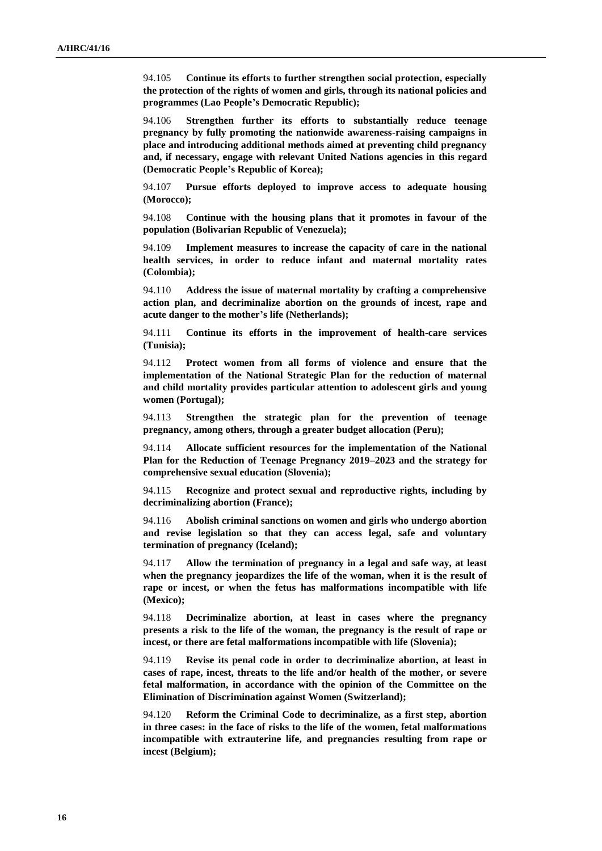94.105 **Continue its efforts to further strengthen social protection, especially the protection of the rights of women and girls, through its national policies and programmes (Lao People's Democratic Republic);**

94.106 **Strengthen further its efforts to substantially reduce teenage pregnancy by fully promoting the nationwide awareness-raising campaigns in place and introducing additional methods aimed at preventing child pregnancy and, if necessary, engage with relevant United Nations agencies in this regard (Democratic People's Republic of Korea);**

94.107 **Pursue efforts deployed to improve access to adequate housing (Morocco);**

94.108 **Continue with the housing plans that it promotes in favour of the population (Bolivarian Republic of Venezuela);**

94.109 **Implement measures to increase the capacity of care in the national health services, in order to reduce infant and maternal mortality rates (Colombia);**

94.110 **Address the issue of maternal mortality by crafting a comprehensive action plan, and decriminalize abortion on the grounds of incest, rape and acute danger to the mother's life (Netherlands);**

94.111 **Continue its efforts in the improvement of health-care services (Tunisia);**

94.112 **Protect women from all forms of violence and ensure that the implementation of the National Strategic Plan for the reduction of maternal and child mortality provides particular attention to adolescent girls and young women (Portugal);**

94.113 **Strengthen the strategic plan for the prevention of teenage pregnancy, among others, through a greater budget allocation (Peru);**

94.114 **Allocate sufficient resources for the implementation of the National Plan for the Reduction of Teenage Pregnancy 2019–2023 and the strategy for comprehensive sexual education (Slovenia);**

94.115 **Recognize and protect sexual and reproductive rights, including by decriminalizing abortion (France);**

94.116 **Abolish criminal sanctions on women and girls who undergo abortion and revise legislation so that they can access legal, safe and voluntary termination of pregnancy (Iceland);**

94.117 **Allow the termination of pregnancy in a legal and safe way, at least when the pregnancy jeopardizes the life of the woman, when it is the result of rape or incest, or when the fetus has malformations incompatible with life (Mexico);**

94.118 **Decriminalize abortion, at least in cases where the pregnancy presents a risk to the life of the woman, the pregnancy is the result of rape or incest, or there are fetal malformations incompatible with life (Slovenia);**

94.119 **Revise its penal code in order to decriminalize abortion, at least in cases of rape, incest, threats to the life and/or health of the mother, or severe fetal malformation, in accordance with the opinion of the Committee on the Elimination of Discrimination against Women (Switzerland);**

94.120 **Reform the Criminal Code to decriminalize, as a first step, abortion in three cases: in the face of risks to the life of the women, fetal malformations incompatible with extrauterine life, and pregnancies resulting from rape or incest (Belgium);**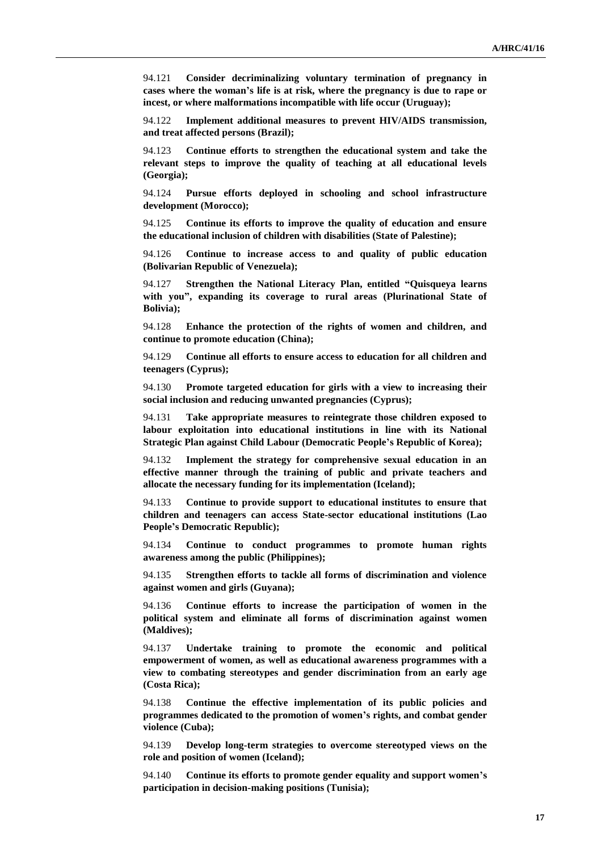94.121 **Consider decriminalizing voluntary termination of pregnancy in cases where the woman's life is at risk, where the pregnancy is due to rape or incest, or where malformations incompatible with life occur (Uruguay);**

94.122 **Implement additional measures to prevent HIV/AIDS transmission, and treat affected persons (Brazil);**

94.123 **Continue efforts to strengthen the educational system and take the relevant steps to improve the quality of teaching at all educational levels (Georgia);**

94.124 **Pursue efforts deployed in schooling and school infrastructure development (Morocco);**

94.125 **Continue its efforts to improve the quality of education and ensure the educational inclusion of children with disabilities (State of Palestine);**

94.126 **Continue to increase access to and quality of public education (Bolivarian Republic of Venezuela);**

94.127 **Strengthen the National Literacy Plan, entitled "Quisqueya learns with you", expanding its coverage to rural areas (Plurinational State of Bolivia);**

94.128 **Enhance the protection of the rights of women and children, and continue to promote education (China);**

94.129 **Continue all efforts to ensure access to education for all children and teenagers (Cyprus);**

94.130 **Promote targeted education for girls with a view to increasing their social inclusion and reducing unwanted pregnancies (Cyprus);**

94.131 **Take appropriate measures to reintegrate those children exposed to labour exploitation into educational institutions in line with its National Strategic Plan against Child Labour (Democratic People's Republic of Korea);**

94.132 **Implement the strategy for comprehensive sexual education in an effective manner through the training of public and private teachers and allocate the necessary funding for its implementation (Iceland);**

94.133 **Continue to provide support to educational institutes to ensure that children and teenagers can access State-sector educational institutions (Lao People's Democratic Republic);**

94.134 **Continue to conduct programmes to promote human rights awareness among the public (Philippines);**

94.135 **Strengthen efforts to tackle all forms of discrimination and violence against women and girls (Guyana);**

94.136 **Continue efforts to increase the participation of women in the political system and eliminate all forms of discrimination against women (Maldives);**

94.137 **Undertake training to promote the economic and political empowerment of women, as well as educational awareness programmes with a view to combating stereotypes and gender discrimination from an early age (Costa Rica);**

94.138 **Continue the effective implementation of its public policies and programmes dedicated to the promotion of women's rights, and combat gender violence (Cuba);**

94.139 **Develop long-term strategies to overcome stereotyped views on the role and position of women (Iceland);**

94.140 **Continue its efforts to promote gender equality and support women's participation in decision-making positions (Tunisia);**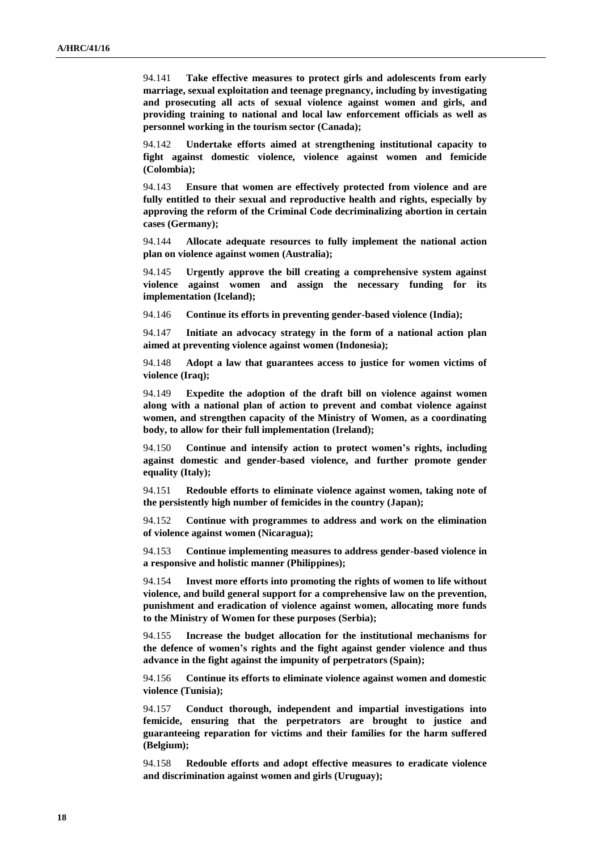94.141 **Take effective measures to protect girls and adolescents from early marriage, sexual exploitation and teenage pregnancy, including by investigating and prosecuting all acts of sexual violence against women and girls, and providing training to national and local law enforcement officials as well as personnel working in the tourism sector (Canada);**

94.142 **Undertake efforts aimed at strengthening institutional capacity to fight against domestic violence, violence against women and femicide (Colombia);**

94.143 **Ensure that women are effectively protected from violence and are fully entitled to their sexual and reproductive health and rights, especially by approving the reform of the Criminal Code decriminalizing abortion in certain cases (Germany);**

94.144 **Allocate adequate resources to fully implement the national action plan on violence against women (Australia);**

94.145 **Urgently approve the bill creating a comprehensive system against violence against women and assign the necessary funding for its implementation (Iceland);**

94.146 **Continue its efforts in preventing gender-based violence (India);**

94.147 **Initiate an advocacy strategy in the form of a national action plan aimed at preventing violence against women (Indonesia);**

94.148 **Adopt a law that guarantees access to justice for women victims of violence (Iraq);**

94.149 **Expedite the adoption of the draft bill on violence against women along with a national plan of action to prevent and combat violence against women, and strengthen capacity of the Ministry of Women, as a coordinating body, to allow for their full implementation (Ireland);**

94.150 **Continue and intensify action to protect women's rights, including against domestic and gender-based violence, and further promote gender equality (Italy);**

94.151 **Redouble efforts to eliminate violence against women, taking note of the persistently high number of femicides in the country (Japan);**

94.152 **Continue with programmes to address and work on the elimination of violence against women (Nicaragua);**

94.153 **Continue implementing measures to address gender-based violence in a responsive and holistic manner (Philippines);**

94.154 **Invest more efforts into promoting the rights of women to life without violence, and build general support for a comprehensive law on the prevention, punishment and eradication of violence against women, allocating more funds to the Ministry of Women for these purposes (Serbia);**

94.155 **Increase the budget allocation for the institutional mechanisms for the defence of women's rights and the fight against gender violence and thus advance in the fight against the impunity of perpetrators (Spain);**

94.156 **Continue its efforts to eliminate violence against women and domestic violence (Tunisia);**

94.157 **Conduct thorough, independent and impartial investigations into femicide, ensuring that the perpetrators are brought to justice and guaranteeing reparation for victims and their families for the harm suffered (Belgium);**

94.158 **Redouble efforts and adopt effective measures to eradicate violence and discrimination against women and girls (Uruguay);**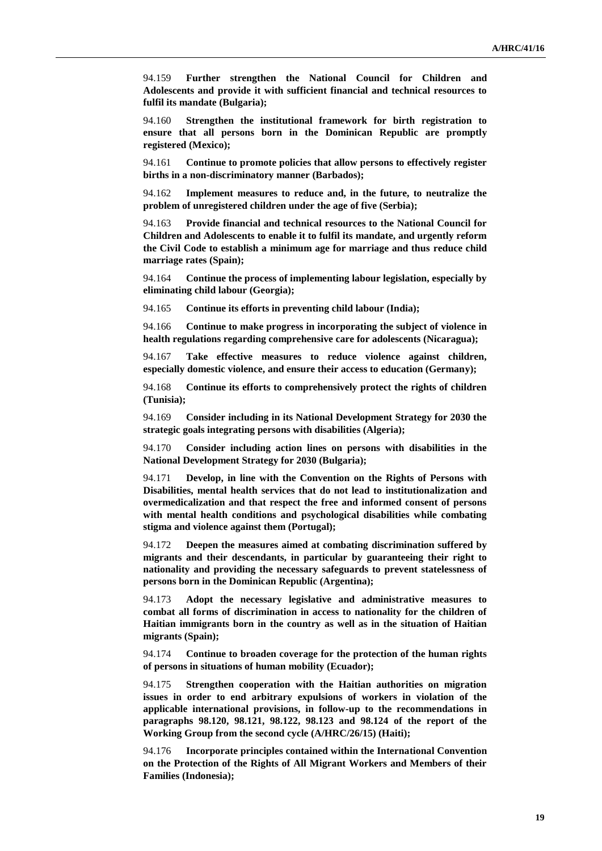94.159 **Further strengthen the National Council for Children and Adolescents and provide it with sufficient financial and technical resources to fulfil its mandate (Bulgaria);**

94.160 **Strengthen the institutional framework for birth registration to ensure that all persons born in the Dominican Republic are promptly registered (Mexico);**

94.161 **Continue to promote policies that allow persons to effectively register births in a non-discriminatory manner (Barbados);**

94.162 **Implement measures to reduce and, in the future, to neutralize the problem of unregistered children under the age of five (Serbia);**

94.163 **Provide financial and technical resources to the National Council for Children and Adolescents to enable it to fulfil its mandate, and urgently reform the Civil Code to establish a minimum age for marriage and thus reduce child marriage rates (Spain);**

94.164 **Continue the process of implementing labour legislation, especially by eliminating child labour (Georgia);**

94.165 **Continue its efforts in preventing child labour (India);**

94.166 **Continue to make progress in incorporating the subject of violence in health regulations regarding comprehensive care for adolescents (Nicaragua);**

94.167 **Take effective measures to reduce violence against children, especially domestic violence, and ensure their access to education (Germany);**

94.168 **Continue its efforts to comprehensively protect the rights of children (Tunisia);**

94.169 **Consider including in its National Development Strategy for 2030 the strategic goals integrating persons with disabilities (Algeria);**

94.170 **Consider including action lines on persons with disabilities in the National Development Strategy for 2030 (Bulgaria);**

94.171 **Develop, in line with the Convention on the Rights of Persons with Disabilities, mental health services that do not lead to institutionalization and overmedicalization and that respect the free and informed consent of persons with mental health conditions and psychological disabilities while combating stigma and violence against them (Portugal);**

94.172 **Deepen the measures aimed at combating discrimination suffered by migrants and their descendants, in particular by guaranteeing their right to nationality and providing the necessary safeguards to prevent statelessness of persons born in the Dominican Republic (Argentina);**

94.173 **Adopt the necessary legislative and administrative measures to combat all forms of discrimination in access to nationality for the children of Haitian immigrants born in the country as well as in the situation of Haitian migrants (Spain);**

94.174 **Continue to broaden coverage for the protection of the human rights of persons in situations of human mobility (Ecuador);**

94.175 **Strengthen cooperation with the Haitian authorities on migration issues in order to end arbitrary expulsions of workers in violation of the applicable international provisions, in follow-up to the recommendations in paragraphs 98.120, 98.121, 98.122, 98.123 and 98.124 of the report of the Working Group from the second cycle (A/HRC/26/15) (Haiti);**

94.176 **Incorporate principles contained within the International Convention on the Protection of the Rights of All Migrant Workers and Members of their Families (Indonesia);**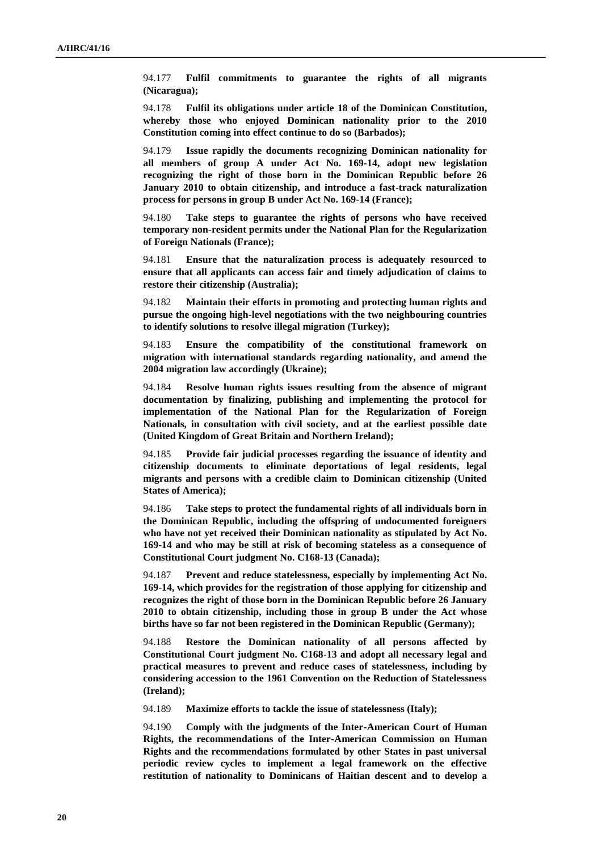94.177 **Fulfil commitments to guarantee the rights of all migrants (Nicaragua);**

94.178 **Fulfil its obligations under article 18 of the Dominican Constitution, whereby those who enjoyed Dominican nationality prior to the 2010 Constitution coming into effect continue to do so (Barbados);**

94.179 **Issue rapidly the documents recognizing Dominican nationality for all members of group A under Act No. 169-14, adopt new legislation recognizing the right of those born in the Dominican Republic before 26 January 2010 to obtain citizenship, and introduce a fast-track naturalization process for persons in group B under Act No. 169-14 (France);**

94.180 **Take steps to guarantee the rights of persons who have received temporary non-resident permits under the National Plan for the Regularization of Foreign Nationals (France);**

94.181 **Ensure that the naturalization process is adequately resourced to ensure that all applicants can access fair and timely adjudication of claims to restore their citizenship (Australia);**

94.182 **Maintain their efforts in promoting and protecting human rights and pursue the ongoing high-level negotiations with the two neighbouring countries to identify solutions to resolve illegal migration (Turkey);**

94.183 **Ensure the compatibility of the constitutional framework on migration with international standards regarding nationality, and amend the 2004 migration law accordingly (Ukraine);**

94.184 **Resolve human rights issues resulting from the absence of migrant documentation by finalizing, publishing and implementing the protocol for implementation of the National Plan for the Regularization of Foreign Nationals, in consultation with civil society, and at the earliest possible date (United Kingdom of Great Britain and Northern Ireland);**

94.185 **Provide fair judicial processes regarding the issuance of identity and citizenship documents to eliminate deportations of legal residents, legal migrants and persons with a credible claim to Dominican citizenship (United States of America);**

94.186 **Take steps to protect the fundamental rights of all individuals born in the Dominican Republic, including the offspring of undocumented foreigners who have not yet received their Dominican nationality as stipulated by Act No. 169-14 and who may be still at risk of becoming stateless as a consequence of Constitutional Court judgment No. C168-13 (Canada);**

94.187 **Prevent and reduce statelessness, especially by implementing Act No. 169-14, which provides for the registration of those applying for citizenship and recognizes the right of those born in the Dominican Republic before 26 January 2010 to obtain citizenship, including those in group B under the Act whose births have so far not been registered in the Dominican Republic (Germany);**

94.188 **Restore the Dominican nationality of all persons affected by Constitutional Court judgment No. C168-13 and adopt all necessary legal and practical measures to prevent and reduce cases of statelessness, including by considering accession to the 1961 Convention on the Reduction of Statelessness (Ireland);**

94.189 **Maximize efforts to tackle the issue of statelessness (Italy);**

94.190 **Comply with the judgments of the Inter-American Court of Human Rights, the recommendations of the Inter-American Commission on Human Rights and the recommendations formulated by other States in past universal periodic review cycles to implement a legal framework on the effective restitution of nationality to Dominicans of Haitian descent and to develop a**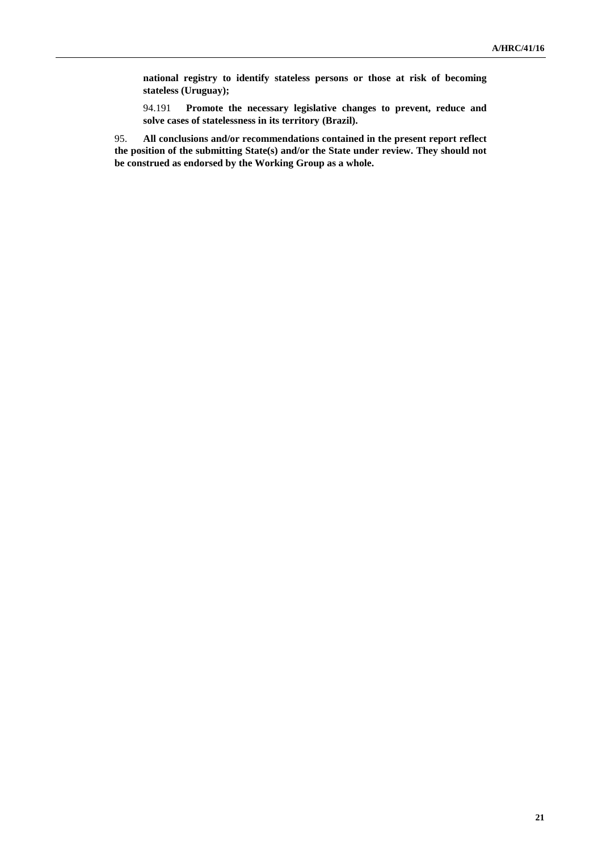**national registry to identify stateless persons or those at risk of becoming stateless (Uruguay);**

94.191 **Promote the necessary legislative changes to prevent, reduce and solve cases of statelessness in its territory (Brazil).**

95. **All conclusions and/or recommendations contained in the present report reflect the position of the submitting State(s) and/or the State under review. They should not be construed as endorsed by the Working Group as a whole.**